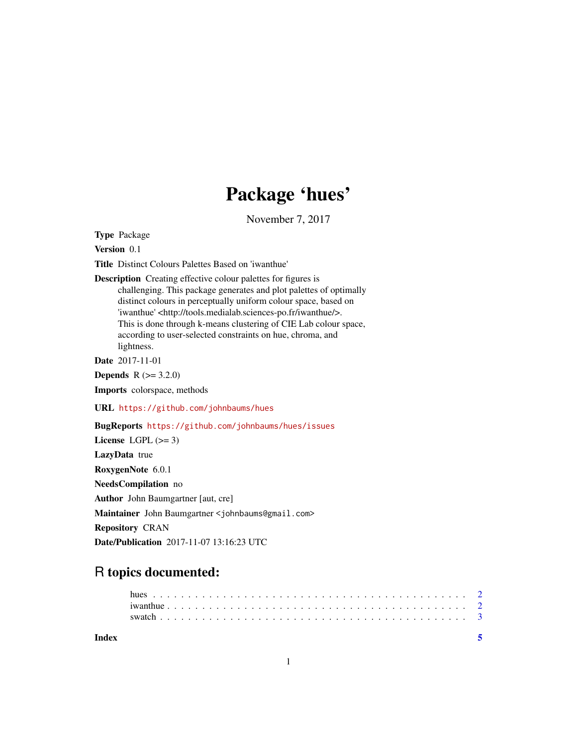## Package 'hues'

November 7, 2017

Type Package

Version 0.1

Title Distinct Colours Palettes Based on 'iwanthue'

Description Creating effective colour palettes for figures is challenging. This package generates and plot palettes of optimally distinct colours in perceptually uniform colour space, based on 'iwanthue' <http://tools.medialab.sciences-po.fr/iwanthue/>. This is done through k-means clustering of CIE Lab colour space, according to user-selected constraints on hue, chroma, and lightness.

Date 2017-11-01

**Depends**  $R (= 3.2.0)$ 

Imports colorspace, methods

URL <https://github.com/johnbaums/hues>

BugReports <https://github.com/johnbaums/hues/issues>

License LGPL  $(>= 3)$ LazyData true RoxygenNote 6.0.1 NeedsCompilation no Author John Baumgartner [aut, cre] Maintainer John Baumgartner <johnbaums@gmail.com> Repository CRAN Date/Publication 2017-11-07 13:16:23 UTC

## R topics documented:

| Index |  |  |  |  |  |  |  |  |  |  |  |  |  |  |  |  |  |  |  |  |  |
|-------|--|--|--|--|--|--|--|--|--|--|--|--|--|--|--|--|--|--|--|--|--|
|       |  |  |  |  |  |  |  |  |  |  |  |  |  |  |  |  |  |  |  |  |  |
|       |  |  |  |  |  |  |  |  |  |  |  |  |  |  |  |  |  |  |  |  |  |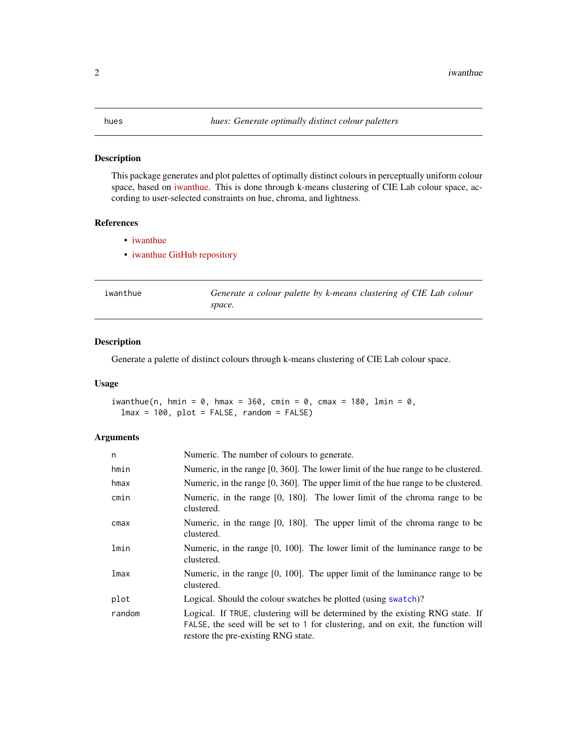#### <span id="page-1-0"></span>Description

This package generates and plot palettes of optimally distinct colours in perceptually uniform colour space, based on [iwanthue.](http://tools.medialab.sciences-po.fr/iwanthue/) This is done through k-means clustering of CIE Lab colour space, according to user-selected constraints on hue, chroma, and lightness.

#### References

- [iwanthue](http://tools.medialab.sciences-po.fr/iwanthue/)
- [iwanthue GitHub repository](https://github.com/medialab/iwanthue)

<span id="page-1-1"></span>

| iwanthue | Generate a colour palette by k-means clustering of CIE Lab colour |
|----------|-------------------------------------------------------------------|
|          | space.                                                            |

#### Description

Generate a palette of distinct colours through k-means clustering of CIE Lab colour space.

#### Usage

```
iwanthue(n, hmin = \theta, hmax = 360, cmin = \theta, cmax = 180, lmin = \theta,
  lmax = 100, plot = FALSE, random = FALSE)
```
#### Arguments

| n      | Numeric. The number of colours to generate.                                                                                                                                                             |
|--------|---------------------------------------------------------------------------------------------------------------------------------------------------------------------------------------------------------|
| hmin   | Numeric, in the range $[0, 360]$ . The lower limit of the hue range to be clustered.                                                                                                                    |
| hmax   | Numeric, in the range $[0, 360]$ . The upper limit of the hue range to be clustered.                                                                                                                    |
| cmin   | Numeric, in the range [0, 180]. The lower limit of the chroma range to be<br>clustered.                                                                                                                 |
| cmax   | Numeric, in the range [0, 180]. The upper limit of the chroma range to be<br>clustered.                                                                                                                 |
| lmin   | Numeric, in the range $[0, 100]$ . The lower limit of the luminance range to be<br>clustered.                                                                                                           |
| lmax   | Numeric, in the range $[0, 100]$ . The upper limit of the luminance range to be<br>clustered.                                                                                                           |
| plot   | Logical. Should the colour swatches be plotted (using swatch)?                                                                                                                                          |
| random | Logical. If TRUE, clustering will be determined by the existing RNG state. If<br>FALSE, the seed will be set to 1 for clustering, and on exit, the function will<br>restore the pre-existing RNG state. |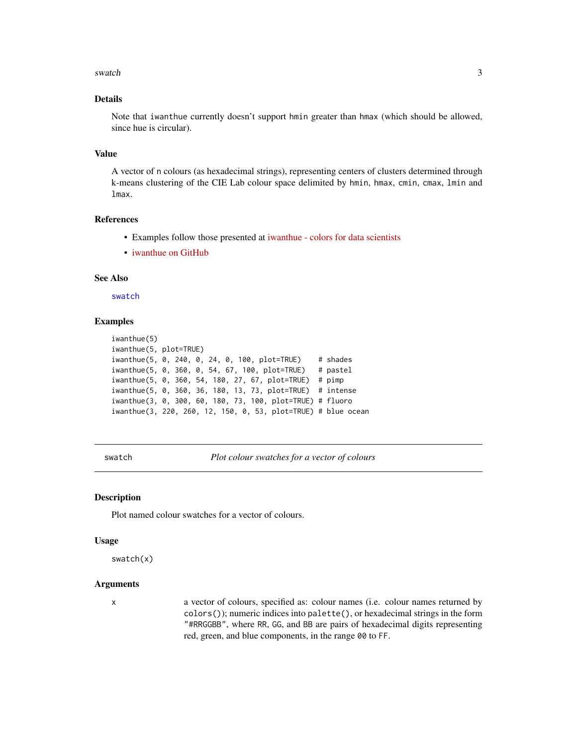#### <span id="page-2-0"></span>swatch  $\frac{3}{3}$

#### Details

Note that iwanthue currently doesn't support hmin greater than hmax (which should be allowed, since hue is circular).

#### Value

A vector of n colours (as hexadecimal strings), representing centers of clusters determined through k-means clustering of the CIE Lab colour space delimited by hmin, hmax, cmin, cmax, lmin and lmax.

#### References

- Examples follow those presented at [iwanthue colors for data scientists](http://tools.medialab.sciences-po.fr/iwanthue/)
- [iwanthue on GitHub](https://github.com/medialab/iwanthue)

#### See Also

[swatch](#page-2-1)

#### Examples

```
iwanthue(5)
iwanthue(5, plot=TRUE)
iwanthue(5, 0, 240, 0, 24, 0, 100, plot=TRUE) # shades
iwanthue(5, 0, 360, 0, 54, 67, 100, plot=TRUE) # pastel
iwanthue(5, 0, 360, 54, 180, 27, 67, plot=TRUE) # pimp
iwanthue(5, 0, 360, 36, 180, 13, 73, plot=TRUE) # intense
iwanthue(3, 0, 300, 60, 180, 73, 100, plot=TRUE) # fluoro
iwanthue(3, 220, 260, 12, 150, 0, 53, plot=TRUE) # blue ocean
```
<span id="page-2-1"></span>swatch *Plot colour swatches for a vector of colours*

#### Description

Plot named colour swatches for a vector of colours.

#### Usage

swatch(x)

#### **Arguments**

x a vector of colours, specified as: colour names (i.e. colour names returned by colors()); numeric indices into palette(), or hexadecimal strings in the form "#RRGGBB", where RR, GG, and BB are pairs of hexadecimal digits representing red, green, and blue components, in the range 00 to FF.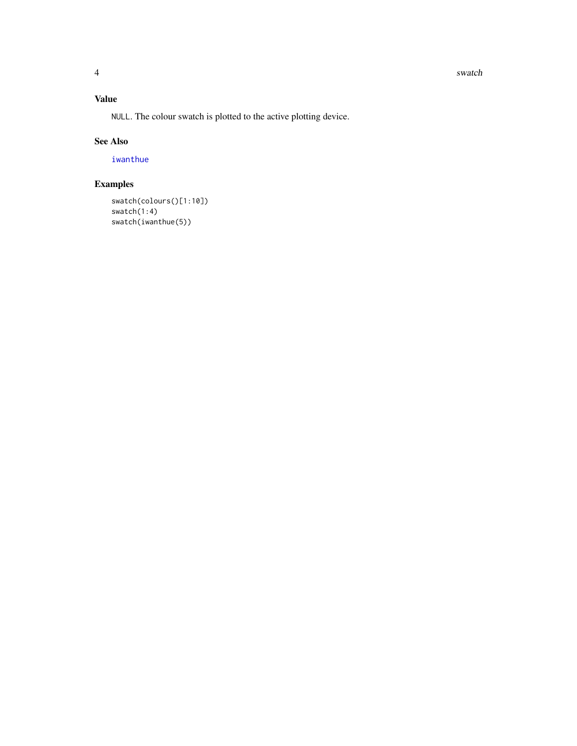#### <span id="page-3-0"></span>4 swatch swatch states of the states of the states of the states of the states of the states of the states of the states of the states of the states of the states of the states of the states of the states of the states of

#### Value

NULL. The colour swatch is plotted to the active plotting device.

#### See Also

[iwanthue](#page-1-1)

### Examples

swatch(colours()[1:10]) swatch(1:4) swatch(iwanthue(5))